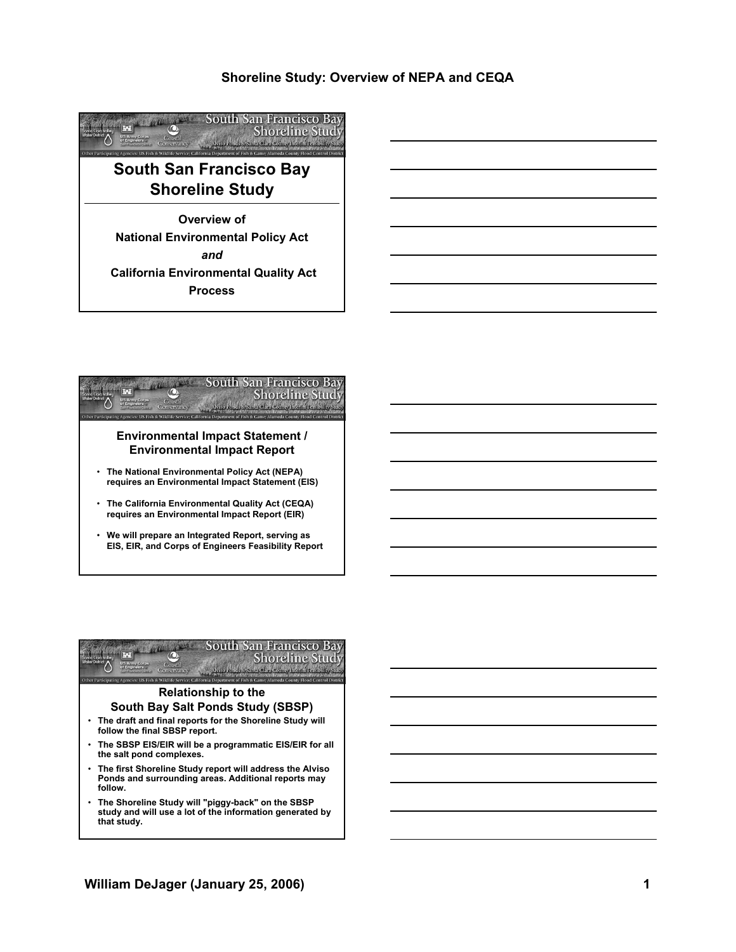# **Shoreline Study: Overview of NEPA and CEQA**





### **Environmental Impact Statement / Environmental Impact Report**

- **The National Environmental Policy Act (NEPA) requires an Environmental Impact Statement (EIS)**
- **The California Environmental Quality Act (CEQA) requires an Environmental Impact Report (EIR)**
- **We will prepare an Integrated Report, serving as EIS, EIR, and Corps of Engineers Feasibility Report**



### **Relationship to the South Bay Salt Ponds Study (SBSP)**

- **The draft and final reports for the Shoreline Study will follow the final SBSP report.**
- **The SBSP EIS/EIR will be a programmatic EIS/EIR for all the salt pond complexes.**
- **The first Shoreline Study report will address the Alviso Ponds and surrounding areas. Additional reports may follow.**
- **The Shoreline Study will "piggy-back" on the SBSP study and will use a lot of the information generated by that study.**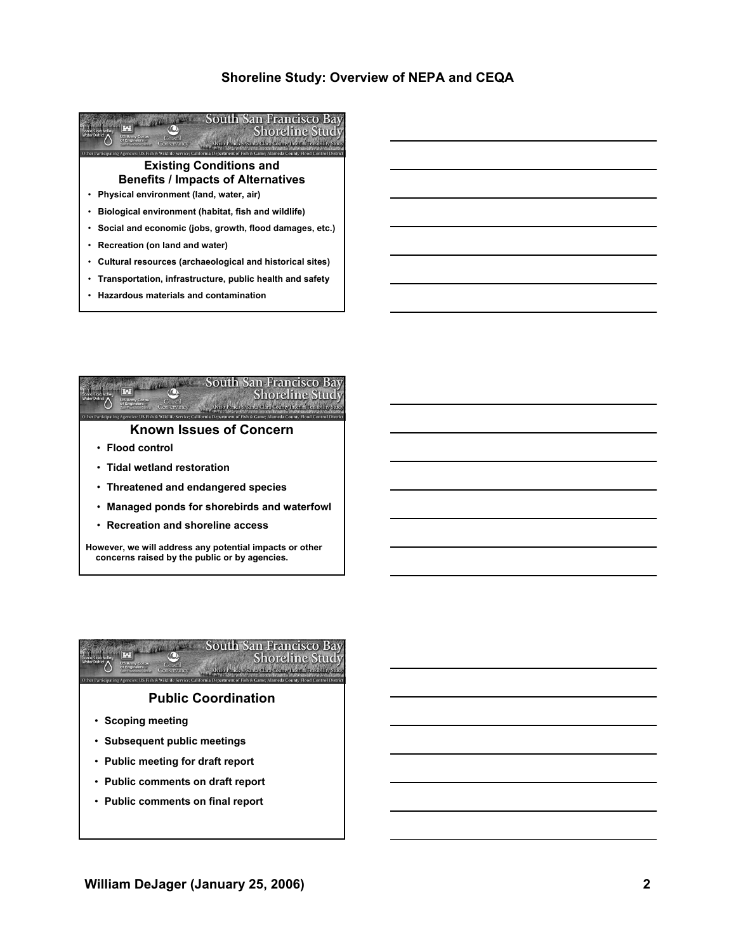# **Shoreline Study: Overview of NEPA and CEQA**





## **Known Issues of Concern**

- **Flood control**
- **Tidal wetland restoration**
- **Threatened and endangered species**
- **Managed ponds for shorebirds and waterfowl**
- **Recreation and shoreline access**

**However, we will address any potential impacts or other concerns raised by the public or by agencies.** 



- **Scoping meeting**
- **Subsequent public meetings**
- **Public meeting for draft report**
- **Public comments on draft report**
- **Public comments on final report**